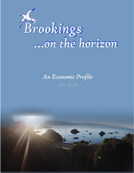

# *An Economic Profile*

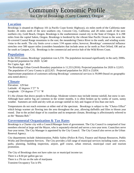# Community Economic Profile for City of Brookings (Curry County), Oregon

## **Location**

Brookings is situated on Highway 101 (a Pacific Coast Scenic Highway), six miles north of the California state border; 26 miles north of the next southern city, Crescent City, California; and 28 miles south of the next northern city, Gold Beach, Oregon. Brookings is the southernmost coastal city in the State of Oregon. It is 298 miles from the capital Salem, Oregon. Brookings is bordered by the vibrant blue Pacific Ocean to the west; the fir-covered Coastal Range mountains to the east; the meandering Chetco River to the south; and winding scenic vistas to the north. The city limits cover a mere 3.94 square miles; however, Brookings' commercial influence stretches over 500 square miles (considers boundaries that include areas as far north as Port Orford, OR and as far south as Gasquet, CA). Brookings is the commercial and service hub of the Wild Rivers Coast.

## **Population**

In the 2010 census, Brookings' population was 6,336. The population increased significantly in the early 2000s. Projected population for 2020: 6,540

Per Capita Age: 46.9

The Brookings Urban Growth Boundary population is 11,553 (2016). Projected population for 2020 is 12,015. The population of Curry County is @22,925. Projected population for 2025 is 23,854.

Approximate population of customers utilizing Brookings' commercial services is 50,000 (based on geographic area noted above.)

#### **Climate**

Elevation: 129 feet Latitude: 42 degrees 3'27' N Longitude: 124 degrees 17'11' W

It's the climate that draws people to Brookings. Moderate winters may include intense rainfall, but snow is rare. Although haze and/or fog are common in the winter months, it is often broken up by weeks of warm, sunny weather. Summers are mild and dry with an average rainfall in July and August of less than one inch.

Temperatures do not reach extremes at either end of the spectrum. Brookings is subject to the "Chetco Effect" which brings warmer air flowing into the area throughout the year, allowing daffodils and lilies to bloom year round. Due to the arched shape of its coastline and its temperate climate, Brookings is affectionately referred to as the "Banana Belt."

## **Governmental Organization & Tax Rates**

Brookings is a Charter city with a Council/Manager form of government. The City Council is comprised of four members elected at large and the Mayor, who is separately-elected and serves a two-year term. Councilors serve four-year terms. The City Manager is appointed by the City Council. The City Council also serves as the Urban Renewal Agency.

City departments include Administration, Public Safety (Police & Fire), Finance and Human Resources, Public Works and Development Services. The City provides a full range of municipal services including water, sewer, parks, planning, building inspection, airport, golf course, urban renewal, municipal court and tourism promotion.

The City of Brookings does not have sales tax or municipal income tax There is a \$.04 per gallon gas tax There is a 3% tax on the sale of marijuana Transient Occupancy Tax is 6%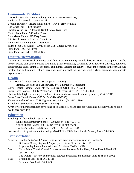## **Community Facilities**

City Hall - 898 Elk Drive, Brookings, OR 97415 (541-469-2163) Azalea Park - 640 Old Country Road Brookings Airport (Private flights only) – 17368 Parkview Drive Bud Cross Park - 1130 Ransom Capella by the Sea - 200 North Bank Chetco River Road Chetco Point Park - 905 Wharf Street Easy Manor Park - 1025 Easy Street Mill Beach Access - Macklyn Cove Road Municipal Swimming Pool - 1130 Ransom Salmon Run Golf Course - 99040 South Bank Chetco River Road Stout Park - 300 Oak Street Stout Park Dog Park - 300 Oak Street

## **Cultural/Recreational**

Cultural and recreational amenities available in the community include beaches, river access points, public library, public golf course, biking and hiking paths, community swimming pool, fourteen churches, numerous social/service clubs, dining & shopping, community theaters, art galleries, museum, concerts in the park, movie theater, disc golf courses, fishing, kayaking, stand up paddling, surfing, wind surfing, camping, youth sports organizations.

#### **Health**

Curry Medical Center - 500 5th Street (541-412-2000) Primary, Specialty and Urgent Care, 24/7 Emergency Department Curry General Hospital - 94220 4th St, Gold Beach, OR (541-247-6621) Sutter Coast Hospital - 800 E Washington Blvd, Crescent City, CA (707-464-8511) Cal-Ore Life Flight, providing ground and air transportation in medical emergencies (541-469-7911) Sutter Coast Health Center - 555 5th St (541-469-9205) Valley Immediate Care - 16261 Highway 101, Suite 1 (541-412-1290) VA Clinic - 840 Railroad Street (541-412-1152) A variety of other independent physicians, specialists, oral health care providers, and alternative and holistic health care providers.

## **Education**

Brookings Harbor School District - K-12

Kalmiopsis Elementary School - 650 Easy St (541-469-7417)

Azalea Middle School - 505 Pacific Ave (541-469-7427)

Brookings Harbor High School - 629 Easy St (541-469-7443)

Southwestern Oregon Community College (SWOCC) - 96082 Lone Ranch Parkway (541-813-1667)

## **Transportation**

Airports - Brookings Regional Airport - city-owned general aviation airport in Brookings Del Norte County Regional Airport (27.5 miles - Crescent City, CA) Rogue Valley International Airport (123 miles - Medford, OR)

Bus - Curry Public Transit Coastal Express - routes between Smith River, CA and North Bend, OR (541-412-8808)

The POINT - intercity connectivity between Brookings and Klamath Falls (541-883-2609)

Taxi - Brookings Taxi (541-661-1111) Accurate Taxi (541-254-4537)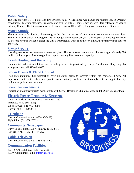## **Public Safety**

The City provides 9-1-1, police and fire services. In 2017, Brookings was named the "Safest City in Oregon" based upon FBI crime statistics. Brookings operates the only 24-hour, 7-day-per-week law enforcement agency in Curry County. The City also enjoys an Insurance Service Office (ISO) fire protection rating of Grade 3.

## **Water Supply**

The water source for the City of Brookings is the Chetco River. Brookings owns its own water treatment plant. The water facility treats an average of 345 million gallons of water per year. Current peak day use approximates 41 percent of water available under the City's water rights. Outside of the city limits, the primary water sources are wells.

## **Sewer Service**

Brookings owns its own wastewater treatment plant. The wastewater treatment facility treats approximately 500 million gallons a year. The average flow is approximately five percent of capacity.

## **Trash Hauling and Recycling**

Commercial and residential trash and recycling service is provided by Curry Transfer and Recycling. To arrange service, call 541-469-2425.

## **Storm Drains & Flood Control**

Brookings maintains full jurisdiction over all storm drainage systems within the corporate limits. All improvements to both public and private storm drainage facilities must comply with all applicable city ordinances, policies and standards.

#### **Street Improvements**

Dedication and improvements must comply with City of Brookings Municipal Code and the City's Master Plan.

## **Electric Power, Propane & Kerosene**

Coos Curry Electric Cooperative (541-469-2103) Ferrellgas (800-399-4522) Blue Star Gas (541-469-7827) Colvin Oil (541-469-2434)

## **Telephone**

Charter Communications (888-438-2427) Ziply Fiber (541-708-7652)

#### **Community Newspaper**

Curry Coastal Pilot, 15957 Highway 101 S, Ste 1 (541-813-1717) Published Fridays

#### **Cable Television**

Charter Communications (888-438-2427)

## **Communication Facilities**

KURY AM Radio 95.3 (541-469-2111) KCIW Community Radio <https://kciw.org/>

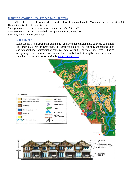# **Housing Availability, Prices and Rentals**

Housing for sale on the real estate market tends to follow the national trends. Median listing price is \$380,000. The availability of rental units is limited.

Average monthly rent for a two-bedroom apartment is \$1,200-1,500

Average monthly rent for a three-bedroom apartment is \$1,500-1,800

Brookings has six hotels and motels.

#### **Lone Ranch**

Lone Ranch is a master plan community approved for development adjacent to Samuel Boardman State Park in Brookings. The approved plan calls for up to 1,000 housing units and neighborhood commercial on some 500 acres of land. The project preserves 370 acres of open space and creates over four miles of trails that link neighborhood residents to amenities. More information available [www.loneranch.com.](http://www.loneranch.com/)

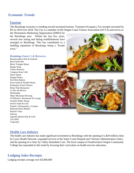## **Economic Trends**

#### **Tourism**

The Brookings economy is trending toward increased tourism. Transient Occupancy Tax receipts increased by 8% in 2019 over 2018. The City is a member of the Oregon Coast Visitors Association (OCVA) and serves as

the Destination Marketing Organization (DMO) for the Brookings area. Within the last few years, several new eating and dining establishments have emerged in Brookings. This has contributed to a building reputation of Brookings being a "foodie town."

#### **Brookings Eatery's & Brewerys**

Beachcombers Deli & Seafood Back Street Bar Black Trumpet Bistro Burger King Chetco Brewery Compass Rose Café Dairy Queen Dragon Palace First Rise Bakery Kaya Sushi & Noodle House Kentuckey Fried Chicken Khun Thai Restaurant La Flor de Mexico McDonalds Misty Mountain Brewing O'Holleran's Restaurant & Lounge Oxenfre Public House Pacific Sushi & Grill Pancho's Restaurante y Cantina Railroad Street Market Rancho Viejo Subway Superfly Martini Bar & Grill Taco Bell Tropicalia



#### **Health Care Industry**

The health care industry has made significant investment in Brookings with the opening of a \$20 million clinic by Curry Health Network, expanded services at the Sutter Coast Hospital and Veterans Administration clinics and the opening of a clinic by Valley Immediate Care. The local campus of Southwestern Oregon Community College has responded to this trend by focusing their curriculum on health services education.

## **Lodging Sales Receipts**

Lodging receipts average over \$3,000,000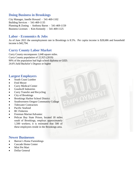## **Doing Business in Brookings**

City Manager, Janelle Howard - 541-469-1102 Building Services - 541-469-1135 Planning & Zoning - Anthony Baron - 541-469-1159 Business Licenses - Kim Kennedy - 541-469-1125

## **Labor - Economics & Jobs**

As of June 2021 the unemployment rate in Brookings is 8.5%. Per capita income is \$28,686 and household income is \$42,794.

505<br>Wanted

## **Curry County Labor Market**

Curry County encompasses 1,648 square miles. Curry County population of 22,925 (2019) 90% of the population had high school diploma or GED. 24.6% held Bachelor's Degrees or higher

#### **Largest Employers**

- South Coast Lumber
- Fred Meyer
- Curry Medical Center
- Goodwill Industries
- Curry Transfer and Recycling
- City of Brookings
- Brookings Harbor School District
- Southwestern Oregon Community College
- Tidewater Contractors
- Pacific Seafood
- BC Fisheries
- Freeman Marine/Advantec
- Pelican Bay State Prison, located 18 miles south of Brookings, employs approximately 1,500 workers; it is estimated that 500 of these employees reside in the Brookings area.

#### **Newer Businesses**

- Barron's Home Furnishings
- Cascade Home Center
- Mini Pet Mart
- Dollar General